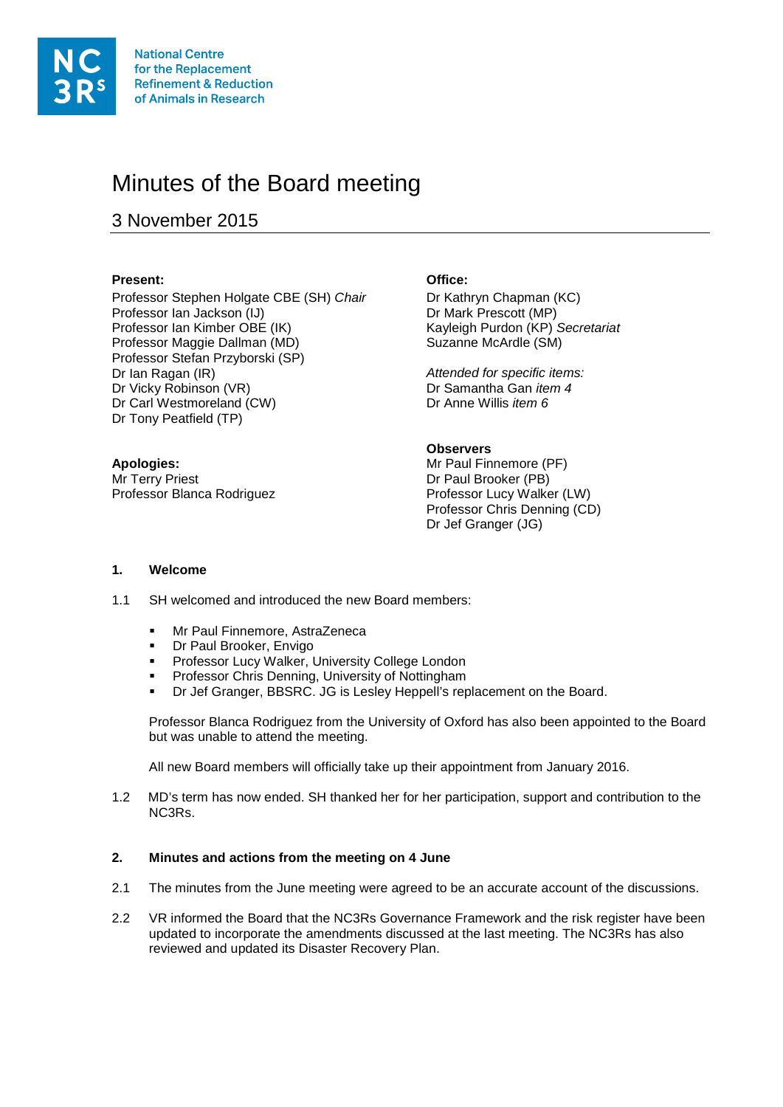

# Minutes of the Board meeting

## 3 November 2015

#### **Present: Office:**

Professor Stephen Holgate CBE (SH) *Chair* Dr Kathryn Chapman (KC)<br>Professor lan Jackson (IJ) Dr Mark Prescott (MP) Professor Ian Jackson (IJ)<br>Professor Ian Kimber OBE (IK) Professor Maggie Dallman (MD) Suzanne McArdle (SM) Professor Stefan Przyborski (SP)<br>Dr Ian Ragan (IR) Dr Vicky Robinson (VR) **Dr Samantha Gan** *ite*<br>Dr Carl Westmoreland (CW) Dr Anne Willis *item 6* Dr Carl Westmoreland (CW) Dr Tony Peatfield (TP)

**Apologies:** Mr Terry Priest Professor Blanca Rodriguez

Kayleigh Purdon (KP) Secretariat

Attended for specific items:<br>Dr Samantha Gan *item 4* 

### **Observers**

Mr Paul Finnemore (PF) Dr Paul Brooker (PB) Professor Lucy Walker (LW) Professor Chris Denning (CD) Dr Jef Granger (JG)

#### **1. Welcome**

- 1.1 SH welcomed and introduced the new Board members:
	- Mr Paul Finnemore, AstraZeneca
	- Dr Paul Brooker, Envigo
	- Professor Lucy Walker, University College London
	- Professor Chris Denning, University of Nottingham
	- Dr Jef Granger, BBSRC. JG is Lesley Heppell's replacement on the Board.

Professor Blanca Rodriguez from the University of Oxford has also been appointed to the Board but was unable to attend the meeting.

All new Board members will officially take up their appointment from January 2016.

1.2 MD's term has now ended. SH thanked her for her participation, support and contribution to the NC3Rs.

#### **2. Minutes and actions from the meeting on 4 June**

- 2.1 The minutes from the June meeting were agreed to be an accurate account of the discussions.
- 2.2 VR informed the Board that the NC3Rs Governance Framework and the risk register have been updated to incorporate the amendments discussed at the last meeting. The NC3Rs has also reviewed and updated its Disaster Recovery Plan.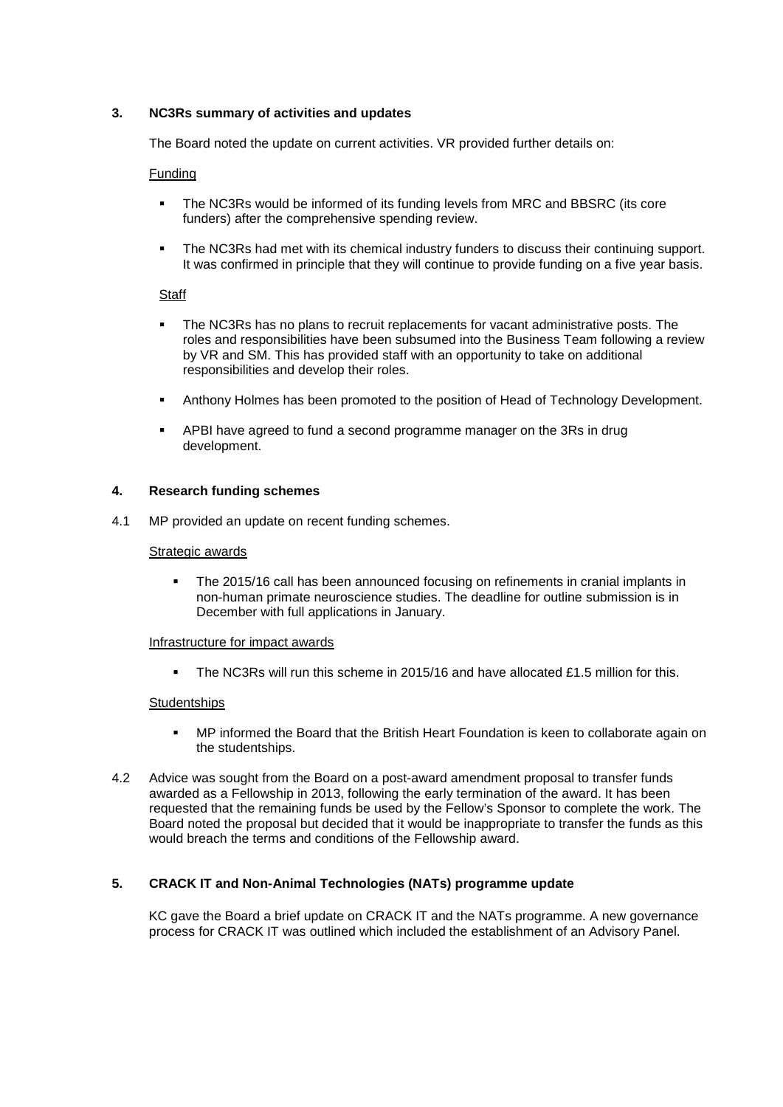#### **3. NC3Rs summary of activities and updates**

The Board noted the update on current activities. VR provided further details on:

#### Funding

- The NC3Rs would be informed of its funding levels from MRC and BBSRC (its core funders) after the comprehensive spending review.
- The NC3Rs had met with its chemical industry funders to discuss their continuing support. It was confirmed in principle that they will continue to provide funding on a five year basis.

#### **Staff**

- The NC3Rs has no plans to recruit replacements for vacant administrative posts. The roles and responsibilities have been subsumed into the Business Team following a review by VR and SM. This has provided staff with an opportunity to take on additional responsibilities and develop their roles.
- Anthony Holmes has been promoted to the position of Head of Technology Development.
- APBI have agreed to fund a second programme manager on the 3Rs in drug development.

#### **4. Research funding schemes**

4.1 MP provided an update on recent funding schemes.

#### Strategic awards

• The 2015/16 call has been announced focusing on refinements in cranial implants in non-human primate neuroscience studies. The deadline for outline submission is in December with full applications in January.

#### Infrastructure for impact awards

The NC3Rs will run this scheme in 2015/16 and have allocated  $f1.5$  million for this.

#### **Studentships**

- MP informed the Board that the British Heart Foundation is keen to collaborate again on the studentships.
- 4.2 Advice was sought from the Board on a post-award amendment proposal to transfer funds awarded as a Fellowship in 2013, following the early termination of the award. It has been requested that the remaining funds be used by the Fellow's Sponsor to complete the work. The Board noted the proposal but decided that it would be inappropriate to transfer the funds as this would breach the terms and conditions of the Fellowship award.

#### **5. CRACK IT and Non-Animal Technologies (NATs) programme update**

KC gave the Board a brief update on CRACK IT and the NATs programme. A new governance process for CRACK IT was outlined which included the establishment of an Advisory Panel.